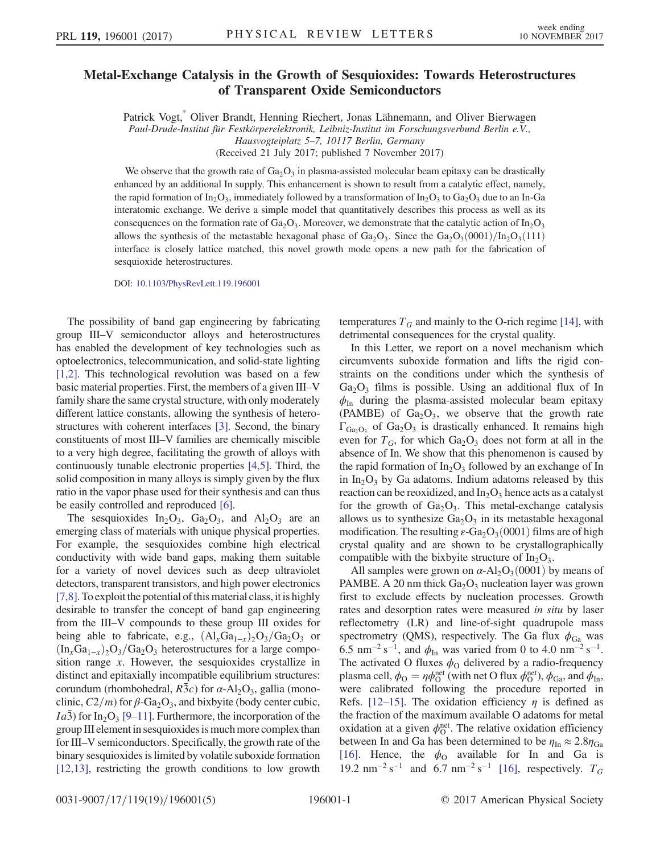## <span id="page-0-0"></span>Metal-Exchange Catalysis in the Growth of Sesquioxides: Towards Heterostructures of Transparent Oxide Semiconductors

Patrick Vogt[,\\*](#page-4-0) Oliver Brandt, Henning Riechert, Jonas Lähnemann, and Oliver Bierwagen Paul-Drude-Institut für Festkörperelektronik, Leibniz-Institut im Forschungsverbund Berlin e.V., Hausvogteiplatz 5–7, 10117 Berlin, Germany

(Received 21 July 2017; published 7 November 2017)

We observe that the growth rate of  $Ga<sub>2</sub>O<sub>3</sub>$  in plasma-assisted molecular beam epitaxy can be drastically enhanced by an additional In supply. This enhancement is shown to result from a catalytic effect, namely, the rapid formation of In<sub>2</sub>O<sub>3</sub>, immediately followed by a transformation of In<sub>2</sub>O<sub>3</sub> to Ga<sub>2</sub>O<sub>3</sub> due to an In-Ga interatomic exchange. We derive a simple model that quantitatively describes this process as well as its consequences on the formation rate of Ga<sub>2</sub>O<sub>3</sub>. Moreover, we demonstrate that the catalytic action of In<sub>2</sub>O<sub>3</sub> allows the synthesis of the metastable hexagonal phase of  $Ga_2O_3$ . Since the  $Ga_2O_3(0001)/In_2O_3(111)$ interface is closely lattice matched, this novel growth mode opens a new path for the fabrication of sesquioxide heterostructures.

DOI: [10.1103/PhysRevLett.119.196001](https://doi.org/10.1103/PhysRevLett.119.196001)

The possibility of band gap engineering by fabricating group III–V semiconductor alloys and heterostructures has enabled the development of key technologies such as optoelectronics, telecommunication, and solid-state lighting [\[1,2\].](#page-4-1) This technological revolution was based on a few basic material properties. First, the members of a given III–V family share the same crystal structure, with only moderately different lattice constants, allowing the synthesis of heterostructures with coherent interfaces [\[3\].](#page-4-2) Second, the binary constituents of most III–V families are chemically miscible to a very high degree, facilitating the growth of alloys with continuously tunable electronic properties [\[4,5\].](#page-4-3) Third, the solid composition in many alloys is simply given by the flux ratio in the vapor phase used for their synthesis and can thus be easily controlled and reproduced [\[6\].](#page-4-4)

The sesquioxides  $In_2O_3$ ,  $Ga_2O_3$ , and  $Al_2O_3$  are an emerging class of materials with unique physical properties. For example, the sesquioxides combine high electrical conductivity with wide band gaps, making them suitable for a variety of novel devices such as deep ultraviolet detectors, transparent transistors, and high power electronics [\[7,8\].](#page-4-5) To exploit the potential of this material class, it is highly desirable to transfer the concept of band gap engineering from the III–V compounds to these group III oxides for being able to fabricate, e.g.,  $(Al_xGa_{1-x})_2O_3/Ga_2O_3$  or  $(\text{In}_x\text{Ga}_{1-x})_2\text{O}_3/\text{Ga}_2\text{O}_3$  heterostructures for a large composition range x. However, the sesquioxides crystallize in distinct and epitaxially incompatible equilibrium structures: corundum (rhombohedral,  $R\bar{3}c$ ) for  $\alpha$ -Al<sub>2</sub>O<sub>3</sub>, gallia (monoclinic,  $C2/m$ ) for  $\beta$ -Ga<sub>2</sub>O<sub>3</sub>, and bixbyite (body center cubic, *Ia3*) for In<sub>2</sub>O<sub>3</sub> [9–[11\].](#page-4-6) Furthermore, the incorporation of the group III element in sesquioxides is much more complex than for III–V semiconductors. Specifically, the growth rate of the binary sesquioxides is limited by volatile suboxide formation [\[12,13\]](#page-4-7), restricting the growth conditions to low growth temperatures  $T_G$  and mainly to the O-rich regime [\[14\],](#page-4-8) with detrimental consequences for the crystal quality.

In this Letter, we report on a novel mechanism which circumvents suboxide formation and lifts the rigid constraints on the conditions under which the synthesis of  $Ga<sub>2</sub>O<sub>3</sub>$  films is possible. Using an additional flux of In  $\phi$ <sub>In</sub> during the plasma-assisted molecular beam epitaxy (PAMBE) of  $Ga<sub>2</sub>O<sub>3</sub>$ , we observe that the growth rate  $\Gamma_{\text{Ga}_2\text{O}_3}$  of  $\text{Ga}_2\text{O}_3$  is drastically enhanced. It remains high even for  $T_G$ , for which  $Ga_2O_3$  does not form at all in the absence of In. We show that this phenomenon is caused by the rapid formation of  $In_2O_3$  followed by an exchange of In in  $In_2O_3$  by Ga adatoms. Indium adatoms released by this reaction can be reoxidized, and  $In_2O_3$  hence acts as a catalyst for the growth of  $Ga_2O_3$ . This metal-exchange catalysis allows us to synthesize  $Ga<sub>2</sub>O<sub>3</sub>$  in its metastable hexagonal modification. The resulting  $\varepsilon$ -Ga<sub>2</sub>O<sub>3</sub>(0001) films are of high crystal quality and are shown to be crystallographically compatible with the bixbyite structure of  $In_2O_3$ .

All samples were grown on  $\alpha$ -Al<sub>2</sub>O<sub>3</sub>(0001) by means of PAMBE. A 20 nm thick  $Ga<sub>2</sub>O<sub>3</sub>$  nucleation layer was grown first to exclude effects by nucleation processes. Growth rates and desorption rates were measured in situ by laser reflectometry (LR) and line-of-sight quadrupole mass spectrometry (QMS), respectively. The Ga flux  $\phi_{Ga}$  was 6.5 nm<sup>-2</sup> s<sup>-1</sup>, and  $\phi$ <sub>In</sub> was varied from 0 to 4.0 nm<sup>-2</sup> s<sup>-1</sup>. The activated O fluxes  $\phi_0$  delivered by a radio-frequency plasma cell,  $\phi_{\rm O} = \eta \phi_{\rm O}^{\rm net}$  (with net O flux  $\phi_{\rm O}^{\rm net}$ ),  $\phi_{\rm Ga}$ , and  $\phi_{\rm In}$ , were calibrated following the procedure reported in Refs. [12–[15\].](#page-4-7) The oxidation efficiency  $\eta$  is defined as the fraction of the maximum available O adatoms for metal oxidation at a given  $\phi_{\mathcal{O}}^{\text{net}}$ . The relative oxidation efficiency between In and Ga has been determined to be  $\eta_{\text{In}} \approx 2.8 \eta_{\text{Ga}}$ [\[16\]](#page-4-9). Hence, the  $\phi_0$  available for In and Ga is 19.2 nm<sup>-2</sup> s<sup>-1</sup> and 6.7 nm<sup>-2</sup> s<sup>-1</sup> [\[16\]](#page-4-9), respectively.  $T_G$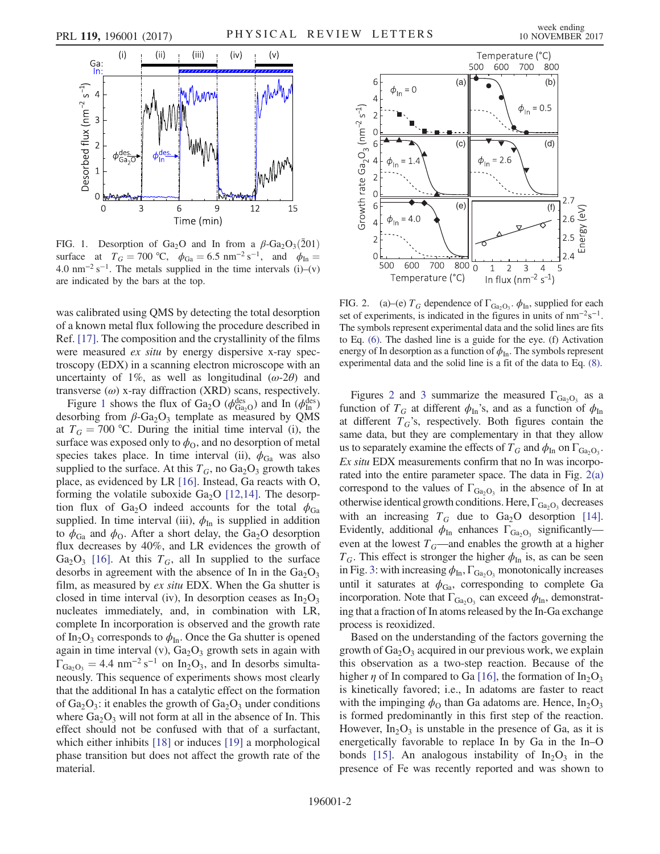<span id="page-1-0"></span>

FIG. 1. Desorption of Ga<sub>2</sub>O and In from a  $\beta$ -Ga<sub>2</sub>O<sub>3</sub>(201) surface at  $T_G = 700 \text{ °C}, \phi_{Ga} = 6.5 \text{ nm}^{-2} \text{ s}^{-1}, \text{ and } \phi_{In} =$ 4.0 nm<sup>-2</sup> s<sup>-1</sup>. The metals supplied in the time intervals (i)–(v) are indicated by the bars at the top.

was calibrated using QMS by detecting the total desorption of a known metal flux following the procedure described in Ref. [\[17\]](#page-4-10). The composition and the crystallinity of the films were measured ex situ by energy dispersive x-ray spectroscopy (EDX) in a scanning electron microscope with an uncertainty of 1%, as well as longitudinal  $(\omega-2\theta)$  and transverse  $(\omega)$  x-ray diffraction (XRD) scans, respectively.

Figure [1](#page-1-0) shows the flux of Ga<sub>2</sub>O ( $\phi_{Ga_2O}^{des}$ ) and In ( $\phi_{In}^{des}$ ) desorbing from  $\beta$ -Ga<sub>2</sub>O<sub>3</sub> template as measured by QMS at  $T_G = 700$  °C. During the initial time interval (i), the surface was exposed only to  $\phi_{\text{O}}$ , and no desorption of metal species takes place. In time interval (ii),  $\phi_{Ga}$  was also supplied to the surface. At this  $T_G$ , no  $Ga_2O_3$  growth takes place, as evidenced by LR [\[16\].](#page-4-9) Instead, Ga reacts with O, forming the volatile suboxide  $Ga<sub>2</sub>O$  [\[12,14\].](#page-4-7) The desorption flux of Ga<sub>2</sub>O indeed accounts for the total  $\phi_{Ga}$ supplied. In time interval (iii),  $\phi_{\text{In}}$  is supplied in addition to  $\phi_{Ga}$  and  $\phi_{O}$ . After a short delay, the Ga<sub>2</sub>O desorption flux decreases by 40%, and LR evidences the growth of Ga<sub>2</sub>O<sub>3</sub> [\[16\]](#page-4-9). At this  $T_G$ , all In supplied to the surface desorbs in agreement with the absence of In in the  $Ga<sub>2</sub>O<sub>3</sub>$ film, as measured by ex situ EDX. When the Ga shutter is closed in time interval (iv), In desorption ceases as  $In_2O_3$ nucleates immediately, and, in combination with LR, complete In incorporation is observed and the growth rate of In<sub>2</sub>O<sub>3</sub> corresponds to  $\phi_{In}$ . Once the Ga shutter is opened again in time interval (v),  $Ga<sub>2</sub>O<sub>3</sub>$  growth sets in again with  $\Gamma_{\text{Ga}_2\text{O}_3} = 4.4 \text{ nm}^{-2} \text{ s}^{-1}$  on In<sub>2</sub>O<sub>3</sub>, and In desorbs simultaneously. This sequence of experiments shows most clearly that the additional In has a catalytic effect on the formation of  $Ga_2O_3$ : it enables the growth of  $Ga_2O_3$  under conditions where  $Ga_2O_3$  will not form at all in the absence of In. This effect should not be confused with that of a surfactant, which either inhibits [\[18\]](#page-4-11) or induces [\[19\]](#page-4-12) a morphological phase transition but does not affect the growth rate of the material.

<span id="page-1-1"></span>

FIG. 2. (a)–(e)  $T_G$  dependence of  $\Gamma_{\text{Ga}_2\text{O}_3}$ .  $\phi_{\text{In}}$ , supplied for each set of experiments, is indicated in the figures in units of  $nm^{-2}s^{-1}$ . The symbols represent experimental data and the solid lines are fits to Eq. [\(6\)](#page-2-1). The dashed line is a guide for the eye. (f) Activation energy of In desorption as a function of  $\phi_{\text{In}}$ . The symbols represent experimental data and the solid line is a fit of the data to Eq. [\(8\).](#page-2-2)

Figures [2](#page-1-1) and [3](#page-2-0) summarize the measured  $\Gamma_{Ga_2O_3}$  as a function of  $T_G$  at different  $\phi_{\text{In}}$ 's, and as a function of  $\phi_{\text{In}}$ at different  $T_G$ 's, respectively. Both figures contain the same data, but they are complementary in that they allow us to separately examine the effects of  $T_G$  and  $\phi_{In}$  on  $\Gamma_{Ga_2O_3}$ . Ex situ EDX measurements confirm that no In was incorporated into the entire parameter space. The data in Fig. [2\(a\)](#page-1-1) correspond to the values of  $\Gamma_{\text{Ga}_2\text{O}_3}$  in the absence of In at otherwise identical growth conditions. Here,  $\Gamma_{\text{Ga}_2\text{O}_3}$  decreases with an increasing  $T_G$  due to  $Ga_2O$  desorption [\[14\]](#page-4-8). Evidently, additional  $\phi_{\text{In}}$  enhances  $\Gamma_{\text{Ga}_2\text{O}_3}$  significantly even at the lowest  $T_G$ —and enables the growth at a higher  $T_G$ . This effect is stronger the higher  $\phi_{\text{In}}$  is, as can be seen in Fig. [3](#page-2-0): with increasing  $\phi_{\text{In}}$ ,  $\Gamma_{\text{Ga}_2\text{O}_3}$  monotonically increases until it saturates at  $\phi_{Ga}$ , corresponding to complete Ga incorporation. Note that  $\Gamma_{\text{Ga}_2\text{O}_3}$  can exceed  $\phi_{\text{In}}$ , demonstrating that a fraction of In atoms released by the In-Ga exchange process is reoxidized.

Based on the understanding of the factors governing the growth of  $Ga<sub>2</sub>O<sub>3</sub>$  acquired in our previous work, we explain this observation as a two-step reaction. Because of the higher  $\eta$  of In compared to Ga [\[16\]](#page-4-9), the formation of In<sub>2</sub>O<sub>3</sub> is kinetically favored; i.e., In adatoms are faster to react with the impinging  $\phi_0$  than Ga adatoms are. Hence,  $In_2O_3$ is formed predominantly in this first step of the reaction. However,  $In_2O_3$  is unstable in the presence of Ga, as it is energetically favorable to replace In by Ga in the In–O bonds [\[15\].](#page-4-13) An analogous instability of  $In_2O_3$  in the presence of Fe was recently reported and was shown to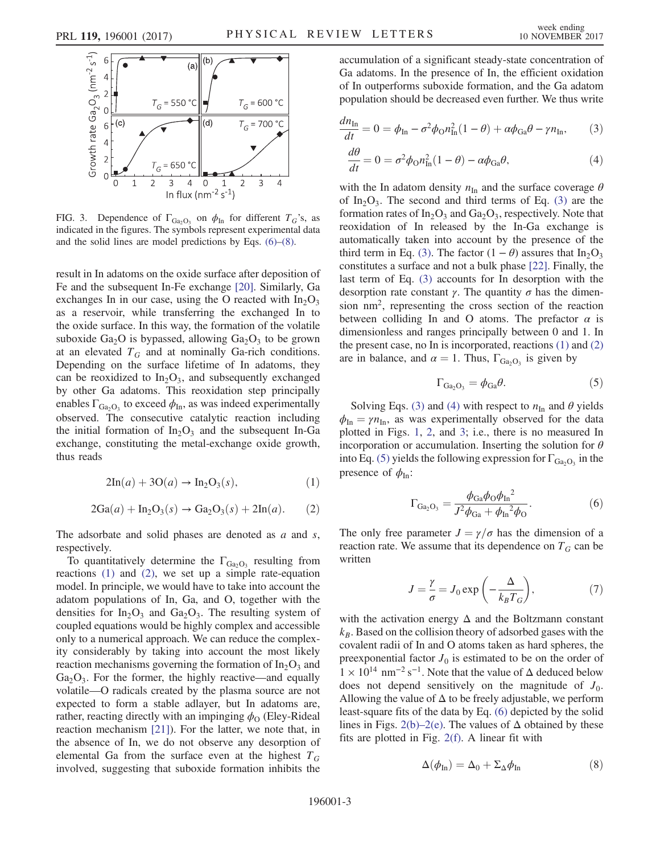<span id="page-2-0"></span>

FIG. 3. Dependence of  $\Gamma_{\text{Ga}_2\text{O}_3}$  on  $\phi_{\text{In}}$  for different  $T_G$ 's, as indicated in the figures. The symbols represent experimental data and the solid lines are model predictions by Eqs. [\(6\)](#page-2-1)–[\(8\).](#page-2-2)

result in In adatoms on the oxide surface after deposition of Fe and the subsequent In-Fe exchange [\[20\]](#page-4-14). Similarly, Ga exchanges In in our case, using the O reacted with  $In_2O_3$ as a reservoir, while transferring the exchanged In to the oxide surface. In this way, the formation of the volatile suboxide Ga<sub>2</sub>O is bypassed, allowing Ga<sub>2</sub>O<sub>3</sub> to be grown at an elevated  $T_G$  and at nominally Ga-rich conditions. Depending on the surface lifetime of In adatoms, they can be reoxidized to  $In_2O_3$ , and subsequently exchanged by other Ga adatoms. This reoxidation step principally enables  $\Gamma_{Ga_2O_3}$  to exceed  $\phi_{In}$ , as was indeed experimentally observed. The consecutive catalytic reaction including the initial formation of  $In_2O_3$  and the subsequent In-Ga exchange, constituting the metal-exchange oxide growth, thus reads

<span id="page-2-3"></span>
$$
2\mathrm{In}(a) + 3\mathrm{O}(a) \to \mathrm{In}_2\mathrm{O}_3(s),\tag{1}
$$

<span id="page-2-4"></span>
$$
2Ga(a) + In2O3(s) \rightarrow Ga2O3(s) + 2In(a).
$$
 (2)

The adsorbate and solid phases are denoted as  $a$  and  $s$ , respectively.

To quantitatively determine the  $\Gamma_{Ga_2O_3}$  resulting from reactions [\(1\)](#page-2-3) and [\(2\)](#page-2-4), we set up a simple rate-equation model. In principle, we would have to take into account the adatom populations of In, Ga, and O, together with the densities for  $In_2O_3$  and  $Ga_2O_3$ . The resulting system of coupled equations would be highly complex and accessible only to a numerical approach. We can reduce the complexity considerably by taking into account the most likely reaction mechanisms governing the formation of  $In_2O_3$  and  $Ga<sub>2</sub>O<sub>3</sub>$ . For the former, the highly reactive—and equally volatile—O radicals created by the plasma source are not expected to form a stable adlayer, but In adatoms are, rather, reacting directly with an impinging  $\phi_{\Omega}$  (Eley-Rideal reaction mechanism [\[21\]\)](#page-4-15). For the latter, we note that, in the absence of In, we do not observe any desorption of elemental Ga from the surface even at the highest  $T_G$ involved, suggesting that suboxide formation inhibits the accumulation of a significant steady-state concentration of Ga adatoms. In the presence of In, the efficient oxidation of In outperforms suboxide formation, and the Ga adatom population should be decreased even further. We thus write

<span id="page-2-5"></span>
$$
\frac{dn_{\rm In}}{dt} = 0 = \phi_{\rm In} - \sigma^2 \phi_{\rm O} n_{\rm In}^2 (1 - \theta) + \alpha \phi_{\rm Ga} \theta - \gamma n_{\rm In},\qquad(3)
$$

<span id="page-2-6"></span>
$$
\frac{d\theta}{dt} = 0 = \sigma^2 \phi_0 n_{\rm In}^2 (1 - \theta) - \alpha \phi_{\rm Ga} \theta,\tag{4}
$$

with the In adatom density  $n_{\text{In}}$  and the surface coverage  $\theta$ of  $In_2O_3$ . The second and third terms of Eq. [\(3\)](#page-2-5) are the formation rates of  $In_2O_3$  and  $Ga_2O_3$ , respectively. Note that reoxidation of In released by the In-Ga exchange is automatically taken into account by the presence of the third term in Eq. [\(3\).](#page-2-5) The factor  $(1 - \theta)$  assures that In<sub>2</sub>O<sub>3</sub> constitutes a surface and not a bulk phase [\[22\].](#page-4-16) Finally, the last term of Eq. [\(3\)](#page-2-5) accounts for In desorption with the desorption rate constant  $\gamma$ . The quantity  $\sigma$  has the dimension nm<sup>2</sup>, representing the cross section of the reaction between colliding In and O atoms. The prefactor  $\alpha$  is dimensionless and ranges principally between 0 and 1. In the present case, no In is incorporated, reactions [\(1\)](#page-2-3) and [\(2\)](#page-2-4) are in balance, and  $\alpha = 1$ . Thus,  $\Gamma_{\text{Ga}_2\text{O}_3}$  is given by

$$
\Gamma_{Ga_2O_3} = \phi_{Ga}\theta. \tag{5}
$$

<span id="page-2-7"></span><span id="page-2-1"></span>Solving Eqs. [\(3\)](#page-2-5) and [\(4\)](#page-2-6) with respect to  $n_{\text{In}}$  and  $\theta$  yields  $\phi_{\text{In}} = \gamma n_{\text{In}}$ , as was experimentally observed for the data plotted in Figs. [1](#page-1-0), [2](#page-1-1), and [3;](#page-2-0) i.e., there is no measured In incorporation or accumulation. Inserting the solution for  $\theta$ into Eq. [\(5\)](#page-2-7) yields the following expression for  $\Gamma_{\text{Ga}_2\text{O}_3}$  in the presence of  $\phi_{\text{In}}$ :

$$
\Gamma_{Ga_2O_3} = \frac{\phi_{Ga}\phi_0\phi_{In}^2}{J^2\phi_{Ga} + \phi_{In}^2\phi_{O}}.
$$
\n(6)

The only free parameter  $J = \gamma/\sigma$  has the dimension of a reaction rate. We assume that its dependence on  $T_G$  can be written

$$
J = \frac{\gamma}{\sigma} = J_0 \exp\left(-\frac{\Delta}{k_B T_G}\right),\tag{7}
$$

with the activation energy  $\Delta$  and the Boltzmann constant  $k_B$ . Based on the collision theory of adsorbed gases with the covalent radii of In and O atoms taken as hard spheres, the preexponential factor  $J_0$  is estimated to be on the order of  $1 \times 10^{14}$  nm<sup>-2</sup> s<sup>-1</sup>. Note that the value of  $\Delta$  deduced below does not depend sensitively on the magnitude of  $J_0$ . Allowing the value of  $\Delta$  to be freely adjustable, we perform least-square fits of the data by Eq. [\(6\)](#page-2-1) depicted by the solid lines in Figs. [2\(b\)](#page-1-1)–2(e). The values of  $\Delta$  obtained by these fits are plotted in Fig. [2\(f\).](#page-1-1) A linear fit with

<span id="page-2-2"></span>
$$
\Delta(\phi_{\text{In}}) = \Delta_0 + \Sigma_{\Delta} \phi_{\text{In}} \tag{8}
$$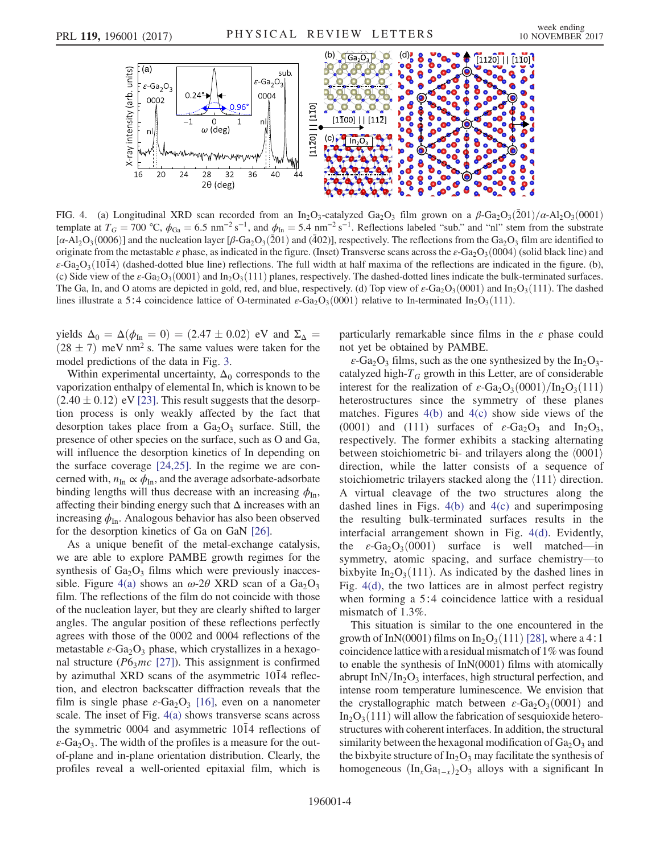<span id="page-3-0"></span>

FIG. 4. (a) Longitudinal XRD scan recorded from an In<sub>2</sub>O<sub>3</sub>-catalyzed Ga<sub>2</sub>O<sub>3</sub> film grown on a  $\beta$ -Ga<sub>2</sub>O<sub>3</sub>(201)/ $\alpha$ -Al<sub>2</sub>O<sub>3</sub>(0001) template at  $T_G = 700 \text{ °C}$ ,  $\phi_{Ga} = 6.5 \text{ nm}^{-2} \text{ s}^{-1}$ , and  $\phi_{In} = 5.4 \text{ nm}^{-2} \text{ s}^{-1}$ . Reflections labeled "sub." and "nl" stem from the substrate [ $\alpha$ -Al<sub>2</sub>O<sub>3</sub>(0006)] and the nucleation layer [ $\beta$ -Ga<sub>2</sub>O<sub>3</sub>(201) and (402)], respectively. The reflections from the Ga<sub>2</sub>O<sub>3</sub> film are identified to originate from the metastable  $\varepsilon$  phase, as indicated in the figure. (Inset) Transverse scans across the  $\varepsilon$ -Ga<sub>2</sub>O<sub>3</sub>(0004) (solid black line) and ε-Ga<sub>2</sub>O<sub>3</sub>(1014) (dashed-dotted blue line) reflections. The full width at half maxima of the reflections are indicated in the figure. (b), (c) Side view of the  $\varepsilon$ -Ga<sub>2</sub>O<sub>3</sub>(0001) and In<sub>2</sub>O<sub>3</sub>(111) planes, respectively. The dashed-dotted lines indicate the bulk-terminated surfaces. The Ga, In, and O atoms are depicted in gold, red, and blue, respectively. (d) Top view of  $\varepsilon$ -Ga<sub>2</sub>O<sub>3</sub>(0001) and In<sub>2</sub>O<sub>3</sub>(111). The dashed lines illustrate a 5∶4 coincidence lattice of O-terminated  $\epsilon$ -Ga<sub>2</sub>O<sub>3</sub>(0001) relative to In-terminated In<sub>2</sub>O<sub>3</sub>(111).

yields  $\Delta_0 = \Delta(\phi_{\text{In}} = 0) = (2.47 \pm 0.02)$  eV and  $\Sigma_{\Delta} =$  $(28 \pm 7)$  meV nm<sup>2</sup> s. The same values were taken for the model predictions of the data in Fig. [3.](#page-2-0)

Within experimental uncertainty,  $\Delta_0$  corresponds to the vaporization enthalpy of elemental In, which is known to be  $(2.40 \pm 0.12)$  eV [\[23\].](#page-4-17) This result suggests that the desorption process is only weakly affected by the fact that desorption takes place from a  $Ga<sub>2</sub>O<sub>3</sub>$  surface. Still, the presence of other species on the surface, such as O and Ga, will influence the desorption kinetics of In depending on the surface coverage [\[24,25\]](#page-4-18). In the regime we are concerned with,  $n_{\text{In}} \propto \phi_{\text{In}}$ , and the average adsorbate-adsorbate binding lengths will thus decrease with an increasing  $\phi_{\text{In}}$ , affecting their binding energy such that  $\Delta$  increases with an increasing  $\phi_{\text{In}}$ . Analogous behavior has also been observed for the desorption kinetics of Ga on GaN [\[26\]](#page-4-19).

As a unique benefit of the metal-exchange catalysis, we are able to explore PAMBE growth regimes for the synthesis of  $Ga_2O_3$  films which were previously inacces-sible. Figure [4\(a\)](#page-3-0) shows an  $\omega$ -2 $\theta$  XRD scan of a Ga<sub>2</sub>O<sub>3</sub> film. The reflections of the film do not coincide with those of the nucleation layer, but they are clearly shifted to larger angles. The angular position of these reflections perfectly agrees with those of the 0002 and 0004 reflections of the metastable  $\varepsilon$ -Ga<sub>2</sub>O<sub>3</sub> phase, which crystallizes in a hexagonal structure ( $P6<sub>3</sub>mc$  [\[27\]\)](#page-4-20). This assignment is confirmed by azimuthal XRD scans of the asymmetric  $10\overline{1}4$  reflection, and electron backscatter diffraction reveals that the film is single phase  $\varepsilon$ -Ga<sub>2</sub>O<sub>3</sub> [\[16\]](#page-4-9), even on a nanometer scale. The inset of Fig. [4\(a\)](#page-3-0) shows transverse scans across the symmetric 0004 and asymmetric  $10\overline{1}4$  reflections of  $\varepsilon$ -Ga<sub>2</sub>O<sub>3</sub>. The width of the profiles is a measure for the outof-plane and in-plane orientation distribution. Clearly, the profiles reveal a well-oriented epitaxial film, which is

particularly remarkable since films in the  $\varepsilon$  phase could not yet be obtained by PAMBE.

 $\varepsilon$ -Ga<sub>2</sub>O<sub>3</sub> films, such as the one synthesized by the In<sub>2</sub>O<sub>3</sub>catalyzed high- $T_G$  growth in this Letter, are of considerable interest for the realization of  $\varepsilon$ -Ga<sub>2</sub>O<sub>3</sub>(0001)/In<sub>2</sub>O<sub>3</sub>(111) heterostructures since the symmetry of these planes matches. Figures  $4(b)$  and  $4(c)$  show side views of the (0001) and (111) surfaces of  $\varepsilon$ -Ga<sub>2</sub>O<sub>3</sub> and In<sub>2</sub>O<sub>3</sub>, respectively. The former exhibits a stacking alternating between stoichiometric bi- and trilayers along the  $\langle 0001 \rangle$ direction, while the latter consists of a sequence of stoichiometric trilayers stacked along the  $\langle 111 \rangle$  direction. A virtual cleavage of the two structures along the dashed lines in Figs.  $4(b)$  and  $4(c)$  and superimposing the resulting bulk-terminated surfaces results in the interfacial arrangement shown in Fig. [4\(d\).](#page-3-0) Evidently, the  $\varepsilon$ -Ga<sub>2</sub>O<sub>3</sub>(0001) surface is well matched—in symmetry, atomic spacing, and surface chemistry—to bixbyite  $In_2O_3(111)$ . As indicated by the dashed lines in Fig. [4\(d\),](#page-3-0) the two lattices are in almost perfect registry when forming a 5∶4 coincidence lattice with a residual mismatch of 1.3%.

This situation is similar to the one encountered in the growth of InN(0001) films on In<sub>2</sub>O<sub>3</sub>(111) [\[28\]](#page-4-21), where a 4∶1 coincidence latticewith a residual mismatch of 1% was found to enable the synthesis of InN(0001) films with atomically abrupt In $N/In_2O_3$  interfaces, high structural perfection, and intense room temperature luminescence. We envision that the crystallographic match between  $\varepsilon$ -Ga<sub>2</sub>O<sub>3</sub>(0001) and  $In_2O<sub>3</sub>(111)$  will allow the fabrication of sesquioxide heterostructures with coherent interfaces. In addition, the structural similarity between the hexagonal modification of  $Ga_2O_3$  and the bixbyite structure of  $In_2O_3$  may facilitate the synthesis of homogeneous  $(\text{In}_x\text{Ga}_{1-x})_2\text{O}_3$  alloys with a significant In